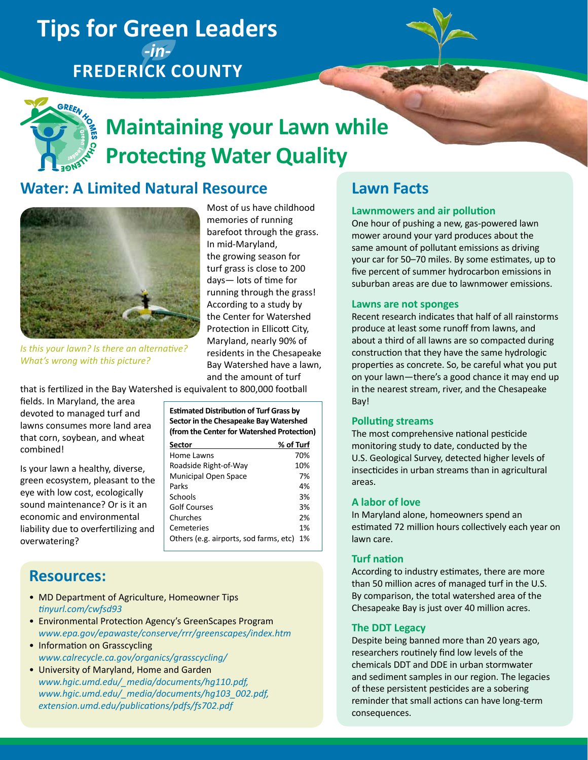## **Tips for Green Leaders**  *-in-***Frederick County**



# **Maintaining your Lawn while Protecting Water Quality**

In mid-Maryland, the growing season for turf grass is close to 200 days— lots of time for running through the grass!

Most of us have childhood memories of running barefoot through the grass.

### **Water: A Limited Natural Resource**



According to a study by the Center for Watershed Protection in Ellicott City, Maryland, nearly 90% of residents in the Chesapeake Bay Watershed have a lawn, *Is this your lawn? Is there an alternative? What's wrong with this picture?*

that is fertilized in the Bay Watershed is equivalent to 800,000 football

fields. In Maryland, the area devoted to managed turf and lawns consumes more land area that corn, soybean, and wheat combined!

Is your lawn a healthy, diverse, green ecosystem, pleasant to the eye with low cost, ecologically sound maintenance? Or is it an economic and environmental liability due to overfertilizing and overwatering?

| <b>Estimated Distribution of Turf Grass by</b><br>Sector in the Chesapeake Bay Watershed<br>(from the Center for Watershed Protection) |           |
|----------------------------------------------------------------------------------------------------------------------------------------|-----------|
| Sector                                                                                                                                 | % of Turf |
| Home Lawns                                                                                                                             | 70%       |
| Roadside Right-of-Way                                                                                                                  | 10%       |
| <b>Municipal Open Space</b>                                                                                                            | 7%        |
| Parks                                                                                                                                  | 4%        |
| Schools                                                                                                                                | 3%        |
| Golf Courses                                                                                                                           | 3%        |
| Churches                                                                                                                               | 2%        |
| Cemeteries                                                                                                                             | 1%        |
| Others (e.g. airports, sod farms, etc)                                                                                                 | 1%        |

and the amount of turf

### **Resources:**

- MD Department of Agriculture, Homeowner Tips *[tinyurl.com/cwfsd93](http://www.tinyurl.com/cwfsd93)*
- Environmental Protection Agency's GreenScapes Program *[www.epa.gov/epawaste/conserve/rrr/greenscapes/index.htm](http://www.epa.gov/epawaste/conserve/rrr/greenscapes/index.htm)*
- Information on Grasscycling *[www.calrecycle.ca.gov/organics/grasscycling/](http://www.calrecycle.ca.gov/organics/grasscycling/)*
- University of Maryland, Home and Garden *[www.hgic.umd.edu/\\_media/documents/hg110.pdf,](http://www.hgic.umd.edu/_media/documents/hg110.pdf) [www.hgic.umd.edu/\\_media/documents/hg103\\_002.](http://www.hgic.umd.edu/_media/documents/hg103_002.pdf)pdf, [extension.umd.edu/publications/pdfs/fs702.pdf](http://extension.umd.edu/publications/pdfs/fs702.pdf)*

### **Lawn Facts**

#### **Lawnmowers and air pollution**

One hour of pushing a new, gas-powered lawn mower around your yard produces about the same amount of pollutant emissions as driving your car for 50–70 miles. By some estimates, up to five percent of summer hydrocarbon emissions in suburban areas are due to lawnmower emissions.

#### **Lawns are not sponges**

Recent research indicates that half of all rainstorms produce at least some runoff from lawns, and about a third of all lawns are so compacted during construction that they have the same hydrologic properties as concrete. So, be careful what you put on your lawn—there's a good chance it may end up in the nearest stream, river, and the Chesapeake Bay!

#### **Polluting streams**

The most comprehensive national pesticide monitoring study to date, conducted by the U.S. Geological Survey, detected higher levels of insecticides in urban streams than in agricultural areas.

#### **A labor of love**

In Maryland alone, homeowners spend an estimated 72 million hours collectively each year on lawn care.

#### **Turf nation**

According to industry estimates, there are more than 50 million acres of managed turf in the U.S. By comparison, the total watershed area of the Chesapeake Bay is just over 40 million acres.

#### **The DDT Legacy**

Despite being banned more than 20 years ago, researchers routinely find low levels of the chemicals DDT and DDE in urban stormwater and sediment samples in our region. The legacies of these persistent pesticides are a sobering reminder that small actions can have long-term consequences.